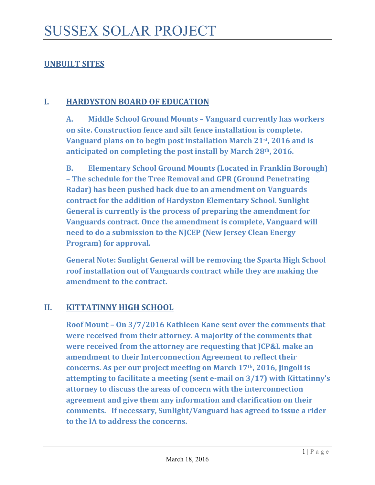# **UNBUILT SITES**

### **I. HARDYSTON BOARD OF EDUCATION**

**A. Middle School Ground Mounts – Vanguard currently has workers on site. Construction fence and silt fence installation is complete. Vanguard plans on to begin post installation March 21st, 2016 and is anticipated on completing the post install by March 28th, 2016.** 

**B. Elementary School Ground Mounts (Located in Franklin Borough) – The schedule for the Tree Removal and GPR (Ground Penetrating Radar) has been pushed back due to an amendment on Vanguards contract for the addition of Hardyston Elementary School. Sunlight General is currently is the process of preparing the amendment for Vanguards contract. Once the amendment is complete, Vanguard will need to do a submission to the NJCEP (New Jersey Clean Energy Program**) **for approval.** 

**General Note: Sunlight General will be removing the Sparta High School roof installation out of Vanguards contract while they are making the amendment to the contract.** 

# **II. KITTATINNY HIGH SCHOOL**

**Roof Mount – On 3/7/2016 Kathleen Kane sent over the comments that were received from their attorney. A majority of the comments that were received from the attorney are requesting that JCP&L make an amendment to their Interconnection Agreement to reflect their concerns. As per our project meeting on March 17th, 2016, Jingoli is attempting to facilitate a meeting (sent e‐mail on 3/17) with Kittatinny's attorney to discuss the areas of concern with the interconnection agreement and give them any information and clarification on their comments. If necessary, Sunlight/Vanguard has agreed to issue a rider to the IA to address the concerns.**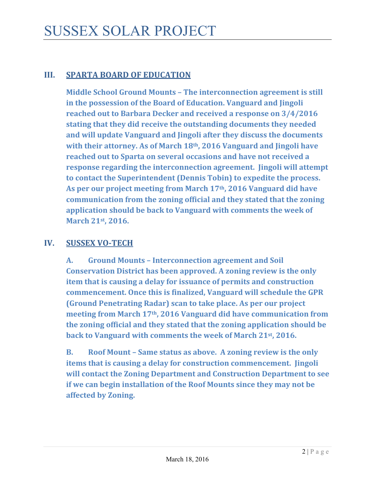# **III. SPARTA BOARD OF EDUCATION**

**Middle School Ground Mounts – The interconnection agreement is still in the possession of the Board of Education. Vanguard and Jingoli reached out to Barbara Decker and received a response on 3/4/2016 stating that they did receive the outstanding documents they needed and will update Vanguard and Jingoli after they discuss the documents with their attorney. As of March 18th, 2016 Vanguard and Jingoli have reached out to Sparta on several occasions and have not received a response regarding the interconnection agreement. Jingoli will attempt to contact the Superintendent (Dennis Tobin) to expedite the process. As per our project meeting from March 17th, 2016 Vanguard did have communication from the zoning official and they stated that the zoning application should be back to Vanguard with comments the week of March** 21st, 2016.

### **IV. SUSSEX VO‐TECH**

**A. Ground Mounts – Interconnection agreement and Soil Conservation District has been approved. A zoning review is the only item that is causing a delay for issuance of permits and construction commencement. Once this is finalized, Vanguard will schedule the GPR (Ground Penetrating Radar) scan to take place. As per our project meeting from March 17th, 2016 Vanguard did have communication from the zoning official and they stated that the zoning application should be back to Vanguard with comments the week of March 21st, 2016.**

**B. Roof Mount – Same status as above. A zoning review is the only items that is causing a delay for construction commencement. Jingoli will contact the Zoning Department and Construction Department to see if we can begin installation of the Roof Mounts since they may not be affected by Zoning.**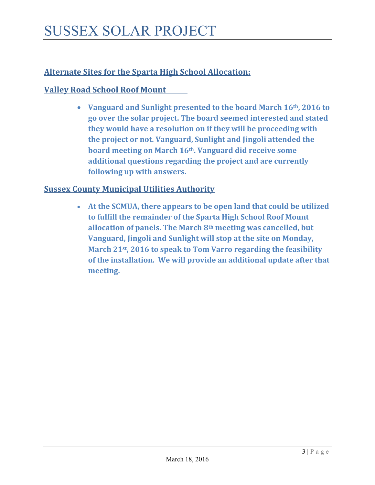# **Alternate Sites for the Sparta High School Allocation:**

## **Valley Road School Roof Mount**

 **Vanguard and Sunlight presented to the board March 16th, 2016 to go over the solar project. The board seemed interested and stated they would have a resolution on if they will be proceeding with the project or not. Vanguard, Sunlight and Jingoli attended the board meeting on March 16th. Vanguard did receive some additional questions regarding the project and are currently following up with answers.**

#### **Sussex County Municipal Utilities Authority**

 **At the SCMUA, there appears to be open land that could be utilized to fulfill the remainder of the Sparta High School Roof Mount allocation of panels. The March 8th meeting was cancelled, but Vanguard, Jingoli and Sunlight will stop at the site on Monday, March 21st, 2016 to speak to Tom Varro regarding the feasibility of the installation. We will provide an additional update after that meeting.**